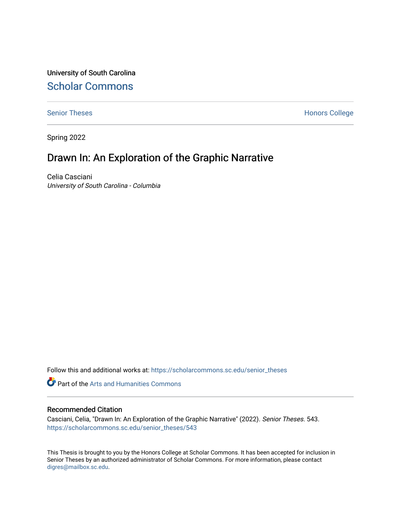University of South Carolina [Scholar Commons](https://scholarcommons.sc.edu/) 

[Senior Theses](https://scholarcommons.sc.edu/senior_theses) **Honors College** Honors College

Spring 2022

# Drawn In: An Exploration of the Graphic Narrative

Celia Casciani University of South Carolina - Columbia

Follow this and additional works at: [https://scholarcommons.sc.edu/senior\\_theses](https://scholarcommons.sc.edu/senior_theses?utm_source=scholarcommons.sc.edu%2Fsenior_theses%2F543&utm_medium=PDF&utm_campaign=PDFCoverPages) 

**Part of the Arts and Humanities Commons** 

#### Recommended Citation

Casciani, Celia, "Drawn In: An Exploration of the Graphic Narrative" (2022). Senior Theses. 543. [https://scholarcommons.sc.edu/senior\\_theses/543](https://scholarcommons.sc.edu/senior_theses/543?utm_source=scholarcommons.sc.edu%2Fsenior_theses%2F543&utm_medium=PDF&utm_campaign=PDFCoverPages) 

This Thesis is brought to you by the Honors College at Scholar Commons. It has been accepted for inclusion in Senior Theses by an authorized administrator of Scholar Commons. For more information, please contact [digres@mailbox.sc.edu](mailto:digres@mailbox.sc.edu).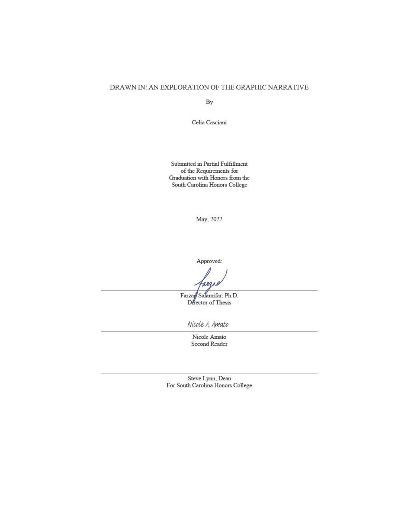#### DRAWN IN: AN EXPLORATION OF THE GRAPHIC NARRATIVE

By

Celia Casciani

Submitted in Partial Fulfillment of the Requirements for Graduation with Honors from the South Carolina Honors College

May, 2022

Approved:

 $A X L$ 

Farzag Salamifar, Ph.D. Director of Thesis

Nicole A. Amato

Nicole Amato Second Reader

Steve Lynn, Dean For South Carolina Honors College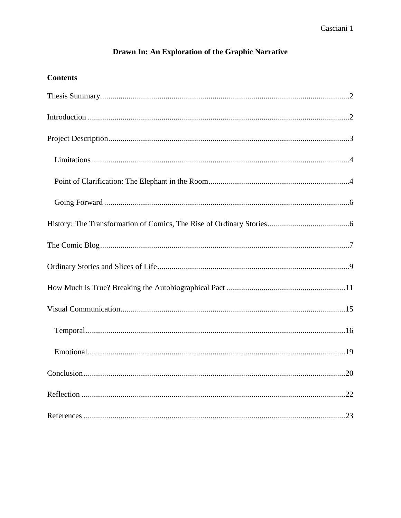## Drawn In: An Exploration of the Graphic Narrative

## **Contents**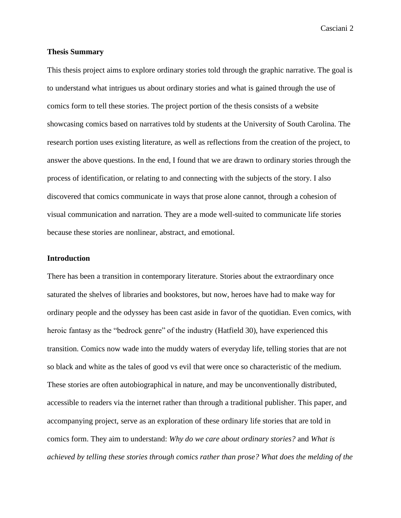#### <span id="page-3-0"></span>**Thesis Summary**

This thesis project aims to explore ordinary stories told through the graphic narrative. The goal is to understand what intrigues us about ordinary stories and what is gained through the use of comics form to tell these stories. The project portion of the thesis consists of a website showcasing comics based on narratives told by students at the University of South Carolina. The research portion uses existing literature, as well as reflections from the creation of the project, to answer the above questions. In the end, I found that we are drawn to ordinary stories through the process of identification, or relating to and connecting with the subjects of the story. I also discovered that comics communicate in ways that prose alone cannot, through a cohesion of visual communication and narration. They are a mode well-suited to communicate life stories because these stories are nonlinear, abstract, and emotional.

#### <span id="page-3-1"></span>**Introduction**

There has been a transition in contemporary literature. Stories about the extraordinary once saturated the shelves of libraries and bookstores, but now, heroes have had to make way for ordinary people and the odyssey has been cast aside in favor of the quotidian. Even comics, with heroic fantasy as the "bedrock genre" of the industry (Hatfield 30), have experienced this transition. Comics now wade into the muddy waters of everyday life, telling stories that are not so black and white as the tales of good vs evil that were once so characteristic of the medium. These stories are often autobiographical in nature, and may be unconventionally distributed, accessible to readers via the internet rather than through a traditional publisher. This paper, and accompanying project, serve as an exploration of these ordinary life stories that are told in comics form. They aim to understand: *Why do we care about ordinary stories?* and *What is achieved by telling these stories through comics rather than prose? What does the melding of the*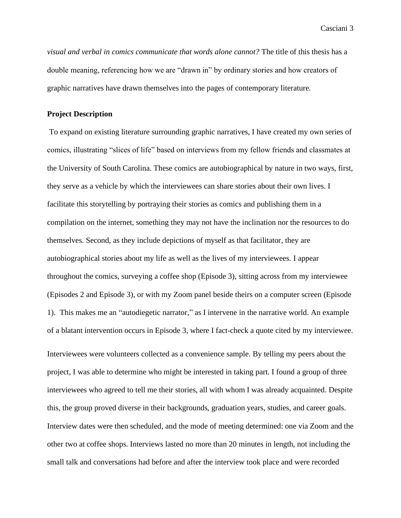*visual and verbal in comics communicate that words alone cannot?* The title of this thesis has a double meaning, referencing how we are "drawn in" by ordinary stories and how creators of graphic narratives have drawn themselves into the pages of contemporary literature.

#### <span id="page-4-0"></span>**Project Description**

To expand on existing literature surrounding graphic narratives, I have created my own series of comics, illustrating "slices of life" based on interviews from my fellow friends and classmates at the University of South Carolina. These comics are autobiographical by nature in two ways, first, they serve as a vehicle by which the interviewees can share stories about their own lives. I facilitate this storytelling by portraying their stories as comics and publishing them in a compilation on the internet, something they may not have the inclination nor the resources to do themselves. Second, as they include depictions of myself as that facilitator, they are autobiographical stories about my life as well as the lives of my interviewees. I appear throughout the comics, surveying a coffee shop (Episode 3), sitting across from my interviewee (Episodes 2 and Episode 3), or with my Zoom panel beside theirs on a computer screen (Episode 1). This makes me an "autodiegetic narrator," as I intervene in the narrative world. An example of a blatant intervention occurs in Episode 3, where I fact-check a quote cited by my interviewee.

Interviewees were volunteers collected as a convenience sample. By telling my peers about the project, I was able to determine who might be interested in taking part. I found a group of three interviewees who agreed to tell me their stories, all with whom I was already acquainted. Despite this, the group proved diverse in their backgrounds, graduation years, studies, and career goals. Interview dates were then scheduled, and the mode of meeting determined: one via Zoom and the other two at coffee shops. Interviews lasted no more than 20 minutes in length, not including the small talk and conversations had before and after the interview took place and were recorded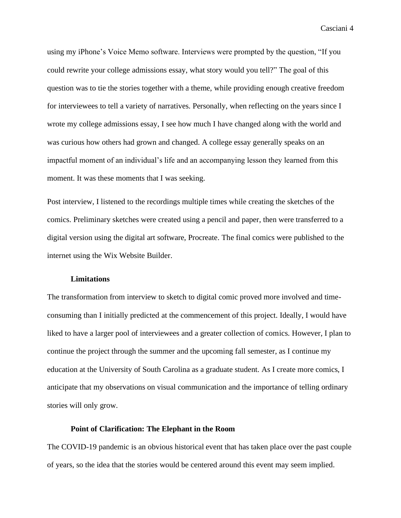using my iPhone's Voice Memo software. Interviews were prompted by the question, "If you could rewrite your college admissions essay, what story would you tell?" The goal of this question was to tie the stories together with a theme, while providing enough creative freedom for interviewees to tell a variety of narratives. Personally, when reflecting on the years since I wrote my college admissions essay, I see how much I have changed along with the world and was curious how others had grown and changed. A college essay generally speaks on an impactful moment of an individual's life and an accompanying lesson they learned from this moment. It was these moments that I was seeking.

Post interview, I listened to the recordings multiple times while creating the sketches of the comics. Preliminary sketches were created using a pencil and paper, then were transferred to a digital version using the digital art software, Procreate. The final comics were published to the internet using the Wix Website Builder.

#### **Limitations**

<span id="page-5-0"></span>The transformation from interview to sketch to digital comic proved more involved and timeconsuming than I initially predicted at the commencement of this project. Ideally, I would have liked to have a larger pool of interviewees and a greater collection of comics. However, I plan to continue the project through the summer and the upcoming fall semester, as I continue my education at the University of South Carolina as a graduate student. As I create more comics, I anticipate that my observations on visual communication and the importance of telling ordinary stories will only grow.

#### **Point of Clarification: The Elephant in the Room**

<span id="page-5-1"></span>The COVID-19 pandemic is an obvious historical event that has taken place over the past couple of years, so the idea that the stories would be centered around this event may seem implied.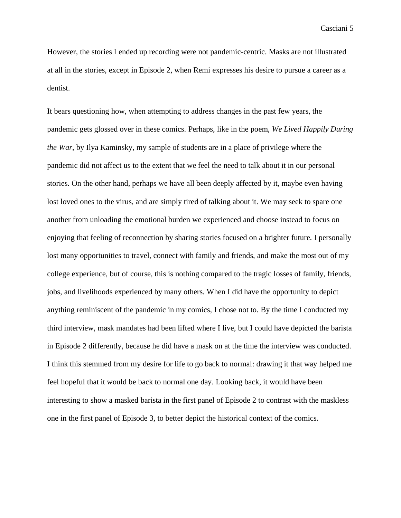However, the stories I ended up recording were not pandemic-centric. Masks are not illustrated at all in the stories, except in Episode 2, when Remi expresses his desire to pursue a career as a dentist.

It bears questioning how, when attempting to address changes in the past few years, the pandemic gets glossed over in these comics. Perhaps, like in the poem, *We Lived Happily During the War*, by Ilya Kaminsky, my sample of students are in a place of privilege where the pandemic did not affect us to the extent that we feel the need to talk about it in our personal stories. On the other hand, perhaps we have all been deeply affected by it, maybe even having lost loved ones to the virus, and are simply tired of talking about it. We may seek to spare one another from unloading the emotional burden we experienced and choose instead to focus on enjoying that feeling of reconnection by sharing stories focused on a brighter future. I personally lost many opportunities to travel, connect with family and friends, and make the most out of my college experience, but of course, this is nothing compared to the tragic losses of family, friends, jobs, and livelihoods experienced by many others. When I did have the opportunity to depict anything reminiscent of the pandemic in my comics, I chose not to. By the time I conducted my third interview, mask mandates had been lifted where I live, but I could have depicted the barista in Episode 2 differently, because he did have a mask on at the time the interview was conducted. I think this stemmed from my desire for life to go back to normal: drawing it that way helped me feel hopeful that it would be back to normal one day. Looking back, it would have been interesting to show a masked barista in the first panel of Episode 2 to contrast with the maskless one in the first panel of Episode 3, to better depict the historical context of the comics.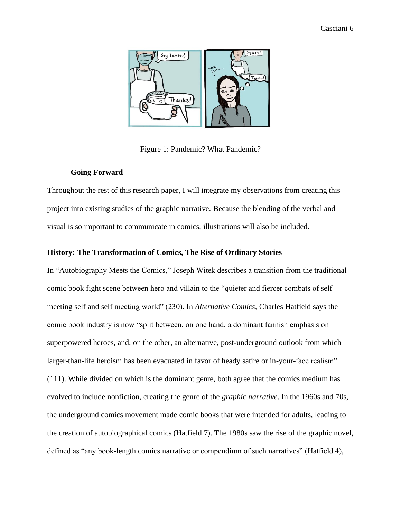

Figure 1: Pandemic? What Pandemic?

## **Going Forward**

<span id="page-7-0"></span>Throughout the rest of this research paper, I will integrate my observations from creating this project into existing studies of the graphic narrative. Because the blending of the verbal and visual is so important to communicate in comics, illustrations will also be included.

## <span id="page-7-1"></span>**History: The Transformation of Comics, The Rise of Ordinary Stories**

In "Autobiography Meets the Comics," Joseph Witek describes a transition from the traditional comic book fight scene between hero and villain to the "quieter and fiercer combats of self meeting self and self meeting world" (230). In *Alternative Comics,* Charles Hatfield says the comic book industry is now "split between, on one hand, a dominant fannish emphasis on superpowered heroes, and, on the other, an alternative, post-underground outlook from which larger-than-life heroism has been evacuated in favor of heady satire or in-your-face realism" (111). While divided on which is the dominant genre, both agree that the comics medium has evolved to include nonfiction, creating the genre of the *graphic narrative*. In the 1960s and 70s, the underground comics movement made comic books that were intended for adults, leading to the creation of autobiographical comics (Hatfield 7). The 1980s saw the rise of the graphic novel, defined as "any book-length comics narrative or compendium of such narratives" (Hatfield 4),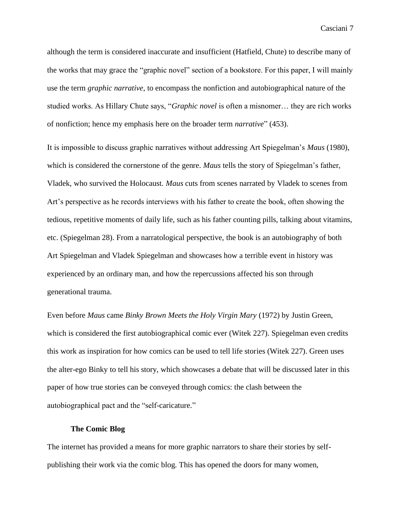although the term is considered inaccurate and insufficient (Hatfield, Chute) to describe many of the works that may grace the "graphic novel" section of a bookstore. For this paper, I will mainly use the term *graphic narrative*, to encompass the nonfiction and autobiographical nature of the studied works. As Hillary Chute says, "*Graphic novel* is often a misnomer… they are rich works of nonfiction; hence my emphasis here on the broader term *narrative*" (453).

It is impossible to discuss graphic narratives without addressing Art Spiegelman's *Maus* (1980), which is considered the cornerstone of the genre. *Maus* tells the story of Spiegelman's father, Vladek, who survived the Holocaust. *Maus* cuts from scenes narrated by Vladek to scenes from Art's perspective as he records interviews with his father to create the book, often showing the tedious, repetitive moments of daily life, such as his father counting pills, talking about vitamins, etc. (Spiegelman 28). From a narratological perspective, the book is an autobiography of both Art Spiegelman and Vladek Spiegelman and showcases how a terrible event in history was experienced by an ordinary man, and how the repercussions affected his son through generational trauma.

Even before *Maus* came *Binky Brown Meets the Holy Virgin Mary* (1972) by Justin Green, which is considered the first autobiographical comic ever (Witek 227). Spiegelman even credits this work as inspiration for how comics can be used to tell life stories (Witek 227). Green uses the alter-ego Binky to tell his story, which showcases a debate that will be discussed later in this paper of how true stories can be conveyed through comics: the clash between the autobiographical pact and the "self-caricature."

#### **The Comic Blog**

<span id="page-8-0"></span>The internet has provided a means for more graphic narrators to share their stories by selfpublishing their work via the comic blog. This has opened the doors for many women,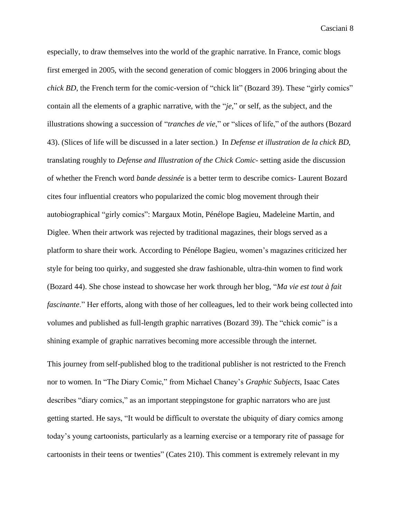especially, to draw themselves into the world of the graphic narrative. In France, comic blogs first emerged in 2005, with the second generation of comic bloggers in 2006 bringing about the *chick BD*, the French term for the comic-version of "chick lit" (Bozard 39). These "girly comics" contain all the elements of a graphic narrative, with the "*je*," or self, as the subject, and the illustrations showing a succession of "*tranches de vie*," or "slices of life," of the authors (Bozard 43). (Slices of life will be discussed in a later section.) In *Defense et illustration de la chick BD,*  translating roughly to *Defense and Illustration of the Chick Comic*- setting aside the discussion of whether the French word *bande dessinée* is a better term to describe comics- Laurent Bozard cites four influential creators who popularized the comic blog movement through their autobiographical "girly comics": Margaux Motin, Pénélope Bagieu, Madeleine Martin, and Diglee. When their artwork was rejected by traditional magazines, their blogs served as a platform to share their work. According to Pénélope Bagieu, women's magazines criticized her style for being too quirky, and suggested she draw fashionable, ultra-thin women to find work (Bozard 44). She chose instead to showcase her work through her blog, "*Ma vie est tout à fait fascinante*." Her efforts, along with those of her colleagues, led to their work being collected into volumes and published as full-length graphic narratives (Bozard 39). The "chick comic" is a shining example of graphic narratives becoming more accessible through the internet.

This journey from self-published blog to the traditional publisher is not restricted to the French nor to women. In "The Diary Comic," from Michael Chaney's *Graphic Subjects*, Isaac Cates describes "diary comics," as an important steppingstone for graphic narrators who are just getting started. He says, "It would be difficult to overstate the ubiquity of diary comics among today's young cartoonists, particularly as a learning exercise or a temporary rite of passage for cartoonists in their teens or twenties" (Cates 210). This comment is extremely relevant in my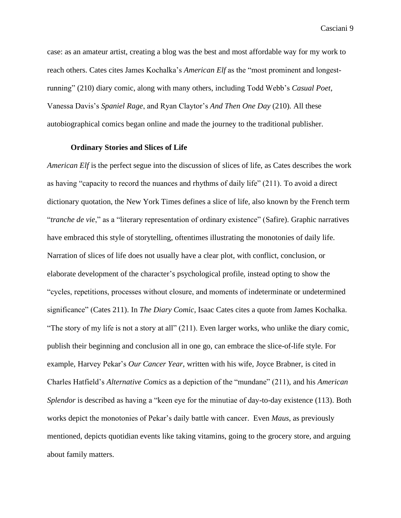case: as an amateur artist, creating a blog was the best and most affordable way for my work to reach others. Cates cites James Kochalka's *American Elf* as the "most prominent and longestrunning" (210) diary comic, along with many others, including Todd Webb's *Casual Poet*, Vanessa Davis's *Spaniel Rage*, and Ryan Claytor's *And Then One Day* (210). All these autobiographical comics began online and made the journey to the traditional publisher.

## **Ordinary Stories and Slices of Life**

<span id="page-10-0"></span>*American Elf* is the perfect segue into the discussion of slices of life, as Cates describes the work as having "capacity to record the nuances and rhythms of daily life" (211). To avoid a direct dictionary quotation, the New York Times defines a slice of life, also known by the French term "*tranche de vie*," as a "literary representation of ordinary existence" (Safire). Graphic narratives have embraced this style of storytelling, oftentimes illustrating the monotonies of daily life. Narration of slices of life does not usually have a clear plot, with conflict, conclusion, or elaborate development of the character's psychological profile, instead opting to show the "cycles, repetitions, processes without closure, and moments of indeterminate or undetermined significance" (Cates 211). In *The Diary Comic*, Isaac Cates cites a quote from James Kochalka. "The story of my life is not a story at all" (211). Even larger works, who unlike the diary comic, publish their beginning and conclusion all in one go, can embrace the slice-of-life style. For example, Harvey Pekar's *Our Cancer Year*, written with his wife, Joyce Brabner, is cited in Charles Hatfield's *Alternative Comics* as a depiction of the "mundane" (211), and his *American Splendor* is described as having a "keen eye for the minutiae of day-to-day existence (113). Both works depict the monotonies of Pekar's daily battle with cancer. Even *Maus*, as previously mentioned, depicts quotidian events like taking vitamins, going to the grocery store, and arguing about family matters.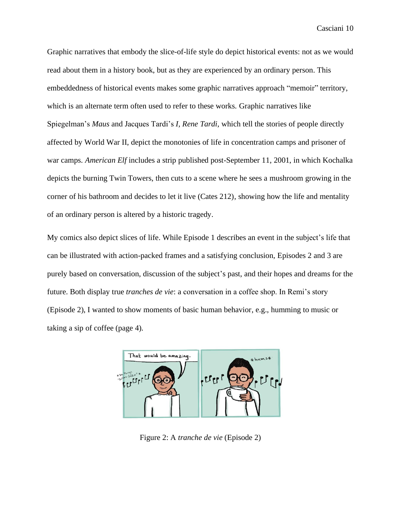Graphic narratives that embody the slice-of-life style do depict historical events: not as we would read about them in a history book, but as they are experienced by an ordinary person. This embeddedness of historical events makes some graphic narratives approach "memoir" territory, which is an alternate term often used to refer to these works. Graphic narratives like Spiegelman's *Maus* and Jacques Tardi's *I, Rene Tardi*, which tell the stories of people directly affected by World War II, depict the monotonies of life in concentration camps and prisoner of war camps. *American Elf* includes a strip published post-September 11, 2001, in which Kochalka depicts the burning Twin Towers, then cuts to a scene where he sees a mushroom growing in the corner of his bathroom and decides to let it live (Cates 212), showing how the life and mentality of an ordinary person is altered by a historic tragedy.

My comics also depict slices of life. While Episode 1 describes an event in the subject's life that can be illustrated with action-packed frames and a satisfying conclusion, Episodes 2 and 3 are purely based on conversation, discussion of the subject's past, and their hopes and dreams for the future. Both display true *tranches de vie*: a conversation in a coffee shop. In Remi's story (Episode 2), I wanted to show moments of basic human behavior, e.g., humming to music or taking a sip of coffee (page 4).



Figure 2: A *tranche de vie* (Episode 2)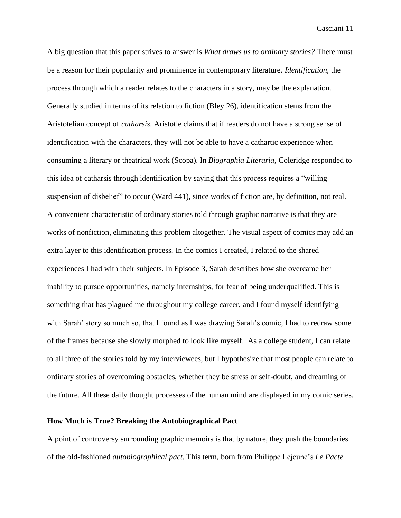A big question that this paper strives to answer is *What draws us to ordinary stories?* There must be a reason for their popularity and prominence in contemporary literature. *Identification,* the process through which a reader relates to the characters in a story, may be the explanation. Generally studied in terms of its relation to fiction (Bley 26), identification stems from the Aristotelian concept of *catharsis*. Aristotle claims that if readers do not have a strong sense of identification with the characters, they will not be able to have a cathartic experience when consuming a literary or theatrical work (Scopa). In *Biographia Literaria*, Coleridge responded to this idea of catharsis through identification by saying that this process requires a "willing suspension of disbelief" to occur (Ward 441), since works of fiction are, by definition, not real. A convenient characteristic of ordinary stories told through graphic narrative is that they are works of nonfiction, eliminating this problem altogether. The visual aspect of comics may add an extra layer to this identification process. In the comics I created, I related to the shared experiences I had with their subjects. In Episode 3, Sarah describes how she overcame her inability to pursue opportunities, namely internships, for fear of being underqualified. This is something that has plagued me throughout my college career, and I found myself identifying with Sarah' story so much so, that I found as I was drawing Sarah's comic, I had to redraw some of the frames because she slowly morphed to look like myself. As a college student, I can relate to all three of the stories told by my interviewees, but I hypothesize that most people can relate to ordinary stories of overcoming obstacles, whether they be stress or self-doubt, and dreaming of the future. All these daily thought processes of the human mind are displayed in my comic series.

## <span id="page-12-0"></span>**How Much is True? Breaking the Autobiographical Pact**

A point of controversy surrounding graphic memoirs is that by nature, they push the boundaries of the old-fashioned *autobiographical pact*. This term, born from Philippe Lejeune's *Le Pacte*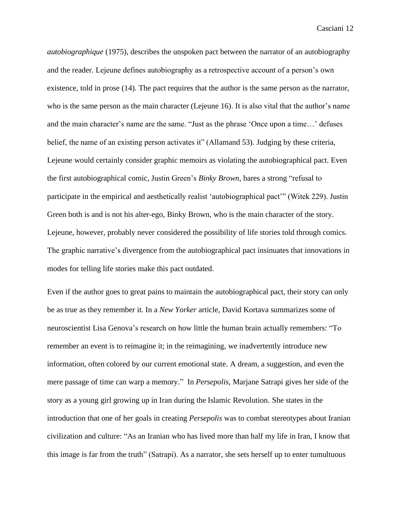*autobiographique* (1975), describes the unspoken pact between the narrator of an autobiography and the reader. Lejeune defines autobiography as a retrospective account of a person's own existence, told in prose (14). The pact requires that the author is the same person as the narrator, who is the same person as the main character (Lejeune 16). It is also vital that the author's name and the main character's name are the same. "Just as the phrase 'Once upon a time…' defuses belief, the name of an existing person activates it" (Allamand 53). Judging by these criteria, Lejeune would certainly consider graphic memoirs as violating the autobiographical pact. Even the first autobiographical comic, Justin Green's *Binky Brown*, bares a strong "refusal to participate in the empirical and aesthetically realist 'autobiographical pact'" (Witek 229). Justin Green both is and is not his alter-ego, Binky Brown, who is the main character of the story. Lejeune, however, probably never considered the possibility of life stories told through comics. The graphic narrative's divergence from the autobiographical pact insinuates that innovations in modes for telling life stories make this pact outdated.

Even if the author goes to great pains to maintain the autobiographical pact, their story can only be as true as they remember it. In a *New Yorker* article, David Kortava summarizes some of neuroscientist Lisa Genova's research on how little the human brain actually remembers: "To remember an event is to reimagine it; in the reimagining, we inadvertently introduce new information, often colored by our current emotional state. A dream, a suggestion, and even the mere passage of time can warp a memory." In *Persepolis*, Marjane Satrapi gives her side of the story as a young girl growing up in Iran during the Islamic Revolution. She states in the introduction that one of her goals in creating *Persepolis* was to combat stereotypes about Iranian civilization and culture: "As an Iranian who has lived more than half my life in Iran, I know that this image is far from the truth" (Satrapi). As a narrator, she sets herself up to enter tumultuous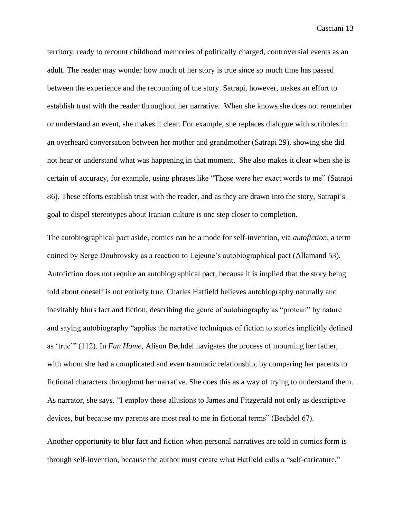territory, ready to recount childhood memories of politically charged, controversial events as an adult. The reader may wonder how much of her story is true since so much time has passed between the experience and the recounting of the story. Satrapi, however, makes an effort to establish trust with the reader throughout her narrative. When she knows she does not remember or understand an event, she makes it clear. For example, she replaces dialogue with scribbles in an overheard conversation between her mother and grandmother (Satrapi 29), showing she did not hear or understand what was happening in that moment. She also makes it clear when she is certain of accuracy, for example, using phrases like "Those were her exact words to me" (Satrapi 86). These efforts establish trust with the reader, and as they are drawn into the story, Satrapi's goal to dispel stereotypes about Iranian culture is one step closer to completion.

The autobiographical pact aside, comics can be a mode for self-invention, via *autofiction*, a term coined by Serge Doubrovsky as a reaction to Lejeune's autobiographical pact (Allamand 53). Autofiction does not require an autobiographical pact, because it is implied that the story being told about oneself is not entirely true. Charles Hatfield believes autobiography naturally and inevitably blurs fact and fiction, describing the genre of autobiography as "protean" by nature and saying autobiography "applies the narrative techniques of fiction to stories implicitly defined as 'true'" (112). In *Fun Home*, Alison Bechdel navigates the process of mourning her father, with whom she had a complicated and even traumatic relationship, by comparing her parents to fictional characters throughout her narrative. She does this as a way of trying to understand them. As narrator, she says, "I employ these allusions to James and Fitzgerald not only as descriptive devices, but because my parents are most real to me in fictional terms" (Bechdel 67).

Another opportunity to blur fact and fiction when personal narratives are told in comics form is through self-invention, because the author must create what Hatfield calls a "self-caricature,"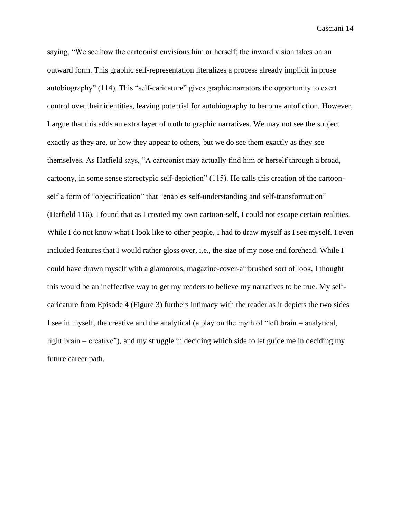saying, "We see how the cartoonist envisions him or herself; the inward vision takes on an outward form. This graphic self-representation literalizes a process already implicit in prose autobiography" (114). This "self-caricature" gives graphic narrators the opportunity to exert control over their identities, leaving potential for autobiography to become autofiction. However, I argue that this adds an extra layer of truth to graphic narratives. We may not see the subject exactly as they are, or how they appear to others, but we do see them exactly as they see themselves. As Hatfield says, "A cartoonist may actually find him or herself through a broad, cartoony, in some sense stereotypic self-depiction" (115). He calls this creation of the cartoonself a form of "objectification" that "enables self-understanding and self-transformation" (Hatfield 116). I found that as I created my own cartoon-self, I could not escape certain realities. While I do not know what I look like to other people, I had to draw myself as I see myself. I even included features that I would rather gloss over, i.e., the size of my nose and forehead. While I could have drawn myself with a glamorous, magazine-cover-airbrushed sort of look, I thought this would be an ineffective way to get my readers to believe my narratives to be true. My selfcaricature from Episode 4 (Figure 3) furthers intimacy with the reader as it depicts the two sides I see in myself, the creative and the analytical (a play on the myth of "left brain = analytical, right brain = creative"), and my struggle in deciding which side to let guide me in deciding my future career path.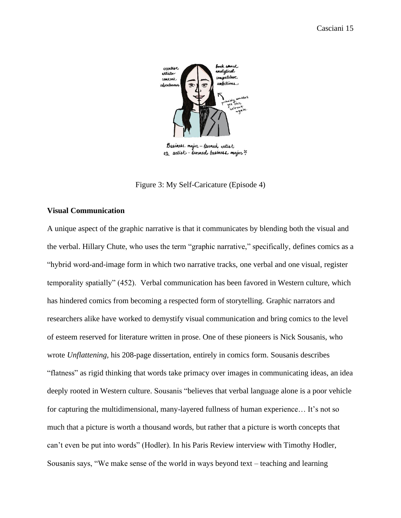

Business major - turned artist or artist-turned business major?

Figure 3: My Self-Caricature (Episode 4)

## <span id="page-16-0"></span>**Visual Communication**

A unique aspect of the graphic narrative is that it communicates by blending both the visual and the verbal. Hillary Chute, who uses the term "graphic narrative," specifically, defines comics as a "hybrid word-and-image form in which two narrative tracks, one verbal and one visual, register temporality spatially" (452). Verbal communication has been favored in Western culture, which has hindered comics from becoming a respected form of storytelling. Graphic narrators and researchers alike have worked to demystify visual communication and bring comics to the level of esteem reserved for literature written in prose. One of these pioneers is Nick Sousanis, who wrote *Unflattening,* his 208-page dissertation, entirely in comics form. Sousanis describes "flatness" as rigid thinking that words take primacy over images in communicating ideas, an idea deeply rooted in Western culture. Sousanis "believes that verbal language alone is a poor vehicle for capturing the multidimensional, many-layered fullness of human experience… It's not so much that a picture is worth a thousand words, but rather that a picture is worth concepts that can't even be put into words" (Hodler). In his Paris Review interview with Timothy Hodler, Sousanis says, "We make sense of the world in ways beyond text – teaching and learning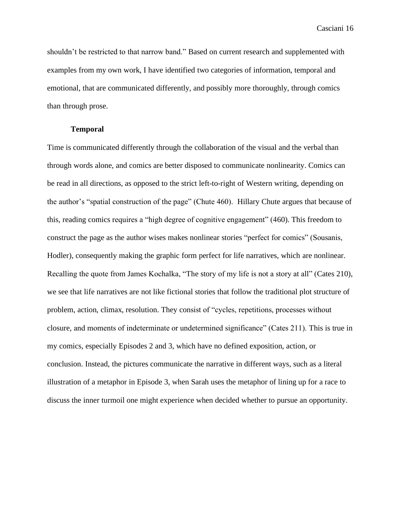shouldn't be restricted to that narrow band." Based on current research and supplemented with examples from my own work, I have identified two categories of information, temporal and emotional, that are communicated differently, and possibly more thoroughly, through comics than through prose.

## **Temporal**

<span id="page-17-0"></span>Time is communicated differently through the collaboration of the visual and the verbal than through words alone, and comics are better disposed to communicate nonlinearity. Comics can be read in all directions, as opposed to the strict left-to-right of Western writing, depending on the author's "spatial construction of the page" (Chute 460). Hillary Chute argues that because of this, reading comics requires a "high degree of cognitive engagement" (460). This freedom to construct the page as the author wises makes nonlinear stories "perfect for comics" (Sousanis, Hodler), consequently making the graphic form perfect for life narratives, which are nonlinear. Recalling the quote from James Kochalka, "The story of my life is not a story at all" (Cates 210), we see that life narratives are not like fictional stories that follow the traditional plot structure of problem, action, climax, resolution. They consist of "cycles, repetitions, processes without closure, and moments of indeterminate or undetermined significance" (Cates 211). This is true in my comics, especially Episodes 2 and 3, which have no defined exposition, action, or conclusion. Instead, the pictures communicate the narrative in different ways, such as a literal illustration of a metaphor in Episode 3, when Sarah uses the metaphor of lining up for a race to discuss the inner turmoil one might experience when decided whether to pursue an opportunity.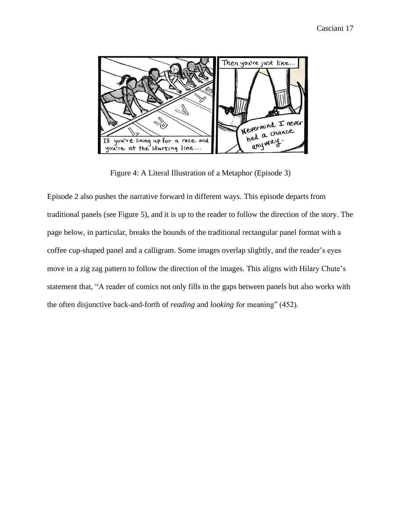

Figure 4: A Literal Illustration of a Metaphor (Episode 3)

Episode 2 also pushes the narrative forward in different ways. This episode departs from traditional panels (see Figure 5), and it is up to the reader to follow the direction of the story. The page below, in particular, breaks the bounds of the traditional rectangular panel format with a coffee cup-shaped panel and a calligram. Some images overlap slightly, and the reader's eyes move in a zig zag pattern to follow the direction of the images. This aligns with Hilary Chute's statement that, "A reader of comics not only fills in the gaps between panels but also works with the often disjunctive back-and-forth of *reading* and *looking* for meaning" (452).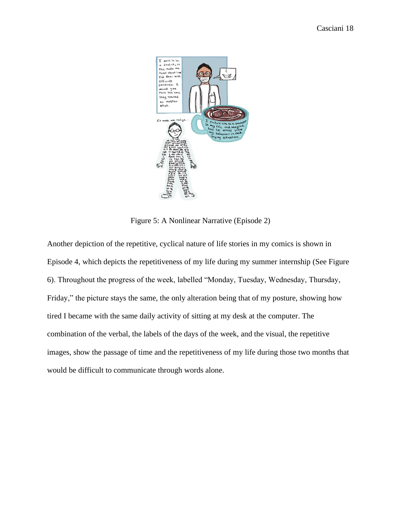

Figure 5: A Nonlinear Narrative (Episode 2)

Another depiction of the repetitive, cyclical nature of life stories in my comics is shown in Episode 4, which depicts the repetitiveness of my life during my summer internship (See Figure 6). Throughout the progress of the week, labelled "Monday, Tuesday, Wednesday, Thursday, Friday," the picture stays the same, the only alteration being that of my posture, showing how tired I became with the same daily activity of sitting at my desk at the computer. The combination of the verbal, the labels of the days of the week, and the visual, the repetitive images, show the passage of time and the repetitiveness of my life during those two months that would be difficult to communicate through words alone.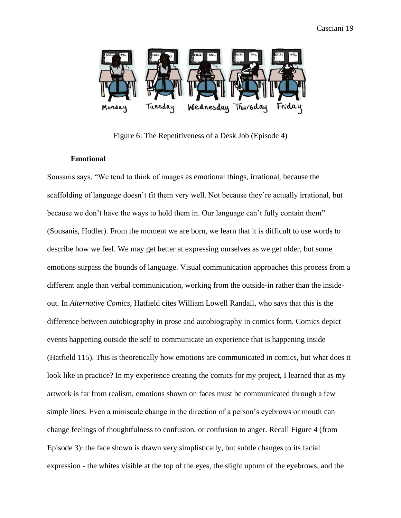

Figure 6: The Repetitiveness of a Desk Job (Episode 4)

#### **Emotional**

<span id="page-20-0"></span>Sousanis says, "We tend to think of images as emotional things, irrational, because the scaffolding of language doesn't fit them very well. Not because they're actually irrational, but because we don't have the ways to hold them in. Our language can't fully contain them" (Sousanis, Hodler). From the moment we are born, we learn that it is difficult to use words to describe how we feel. We may get better at expressing ourselves as we get older, but some emotions surpass the bounds of language. Visual communication approaches this process from a different angle than verbal communication, working from the outside-in rather than the insideout. In *Alternative Comics*, Hatfield cites William Lowell Randall, who says that this is the difference between autobiography in prose and autobiography in comics form. Comics depict events happening outside the self to communicate an experience that is happening inside (Hatfield 115). This is theoretically how emotions are communicated in comics, but what does it look like in practice? In my experience creating the comics for my project, I learned that as my artwork is far from realism, emotions shown on faces must be communicated through a few simple lines. Even a miniscule change in the direction of a person's eyebrows or mouth can change feelings of thoughtfulness to confusion, or confusion to anger. Recall Figure 4 (from Episode 3): the face shown is drawn very simplistically, but subtle changes to its facial expression - the whites visible at the top of the eyes, the slight upturn of the eyebrows, and the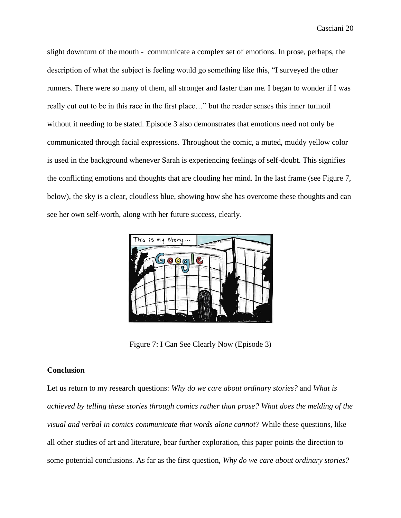slight downturn of the mouth - communicate a complex set of emotions. In prose, perhaps, the description of what the subject is feeling would go something like this, "I surveyed the other runners. There were so many of them, all stronger and faster than me. I began to wonder if I was really cut out to be in this race in the first place…" but the reader senses this inner turmoil without it needing to be stated. Episode 3 also demonstrates that emotions need not only be communicated through facial expressions. Throughout the comic, a muted, muddy yellow color is used in the background whenever Sarah is experiencing feelings of self-doubt. This signifies the conflicting emotions and thoughts that are clouding her mind. In the last frame (see Figure 7, below), the sky is a clear, cloudless blue, showing how she has overcome these thoughts and can see her own self-worth, along with her future success, clearly.



Figure 7: I Can See Clearly Now (Episode 3)

#### <span id="page-21-0"></span>**Conclusion**

Let us return to my research questions: *Why do we care about ordinary stories?* and *What is achieved by telling these stories through comics rather than prose? What does the melding of the visual and verbal in comics communicate that words alone cannot?* While these questions, like all other studies of art and literature, bear further exploration, this paper points the direction to some potential conclusions. As far as the first question, *Why do we care about ordinary stories?*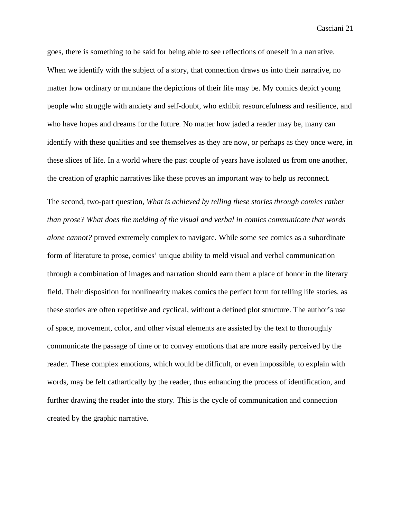goes, there is something to be said for being able to see reflections of oneself in a narrative. When we identify with the subject of a story, that connection draws us into their narrative, no matter how ordinary or mundane the depictions of their life may be. My comics depict young people who struggle with anxiety and self-doubt, who exhibit resourcefulness and resilience, and who have hopes and dreams for the future. No matter how jaded a reader may be, many can identify with these qualities and see themselves as they are now, or perhaps as they once were, in these slices of life. In a world where the past couple of years have isolated us from one another, the creation of graphic narratives like these proves an important way to help us reconnect.

The second, two-part question, *What is achieved by telling these stories through comics rather than prose? What does the melding of the visual and verbal in comics communicate that words alone cannot?* proved extremely complex to navigate. While some see comics as a subordinate form of literature to prose, comics' unique ability to meld visual and verbal communication through a combination of images and narration should earn them a place of honor in the literary field. Their disposition for nonlinearity makes comics the perfect form for telling life stories, as these stories are often repetitive and cyclical, without a defined plot structure. The author's use of space, movement, color, and other visual elements are assisted by the text to thoroughly communicate the passage of time or to convey emotions that are more easily perceived by the reader. These complex emotions, which would be difficult, or even impossible, to explain with words, may be felt cathartically by the reader, thus enhancing the process of identification, and further drawing the reader into the story. This is the cycle of communication and connection created by the graphic narrative.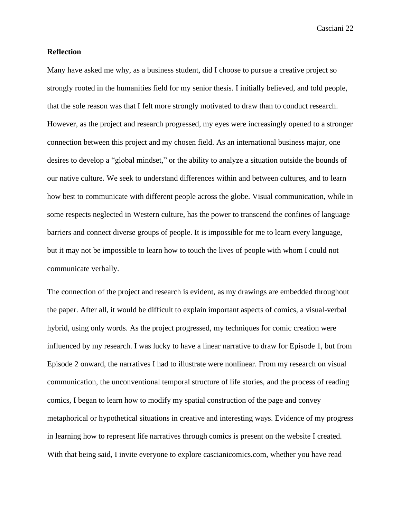#### <span id="page-23-0"></span>**Reflection**

Many have asked me why, as a business student, did I choose to pursue a creative project so strongly rooted in the humanities field for my senior thesis. I initially believed, and told people, that the sole reason was that I felt more strongly motivated to draw than to conduct research. However, as the project and research progressed, my eyes were increasingly opened to a stronger connection between this project and my chosen field. As an international business major, one desires to develop a "global mindset," or the ability to analyze a situation outside the bounds of our native culture. We seek to understand differences within and between cultures, and to learn how best to communicate with different people across the globe. Visual communication, while in some respects neglected in Western culture, has the power to transcend the confines of language barriers and connect diverse groups of people. It is impossible for me to learn every language, but it may not be impossible to learn how to touch the lives of people with whom I could not communicate verbally.

The connection of the project and research is evident, as my drawings are embedded throughout the paper. After all, it would be difficult to explain important aspects of comics, a visual-verbal hybrid, using only words. As the project progressed, my techniques for comic creation were influenced by my research. I was lucky to have a linear narrative to draw for Episode 1, but from Episode 2 onward, the narratives I had to illustrate were nonlinear. From my research on visual communication, the unconventional temporal structure of life stories, and the process of reading comics, I began to learn how to modify my spatial construction of the page and convey metaphorical or hypothetical situations in creative and interesting ways. Evidence of my progress in learning how to represent life narratives through comics is present on the website I created. With that being said, I invite everyone to explore cascianicomics.com, whether you have read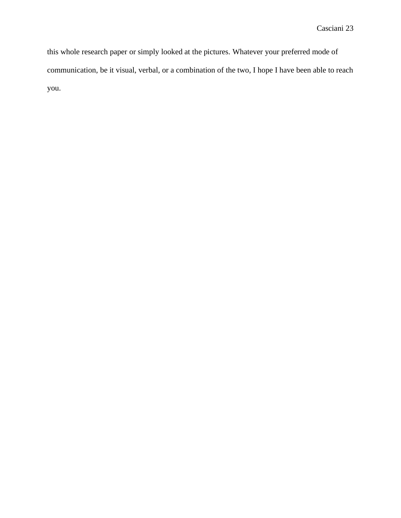<span id="page-24-0"></span>this whole research paper or simply looked at the pictures. Whatever your preferred mode of communication, be it visual, verbal, or a combination of the two, I hope I have been able to reach you.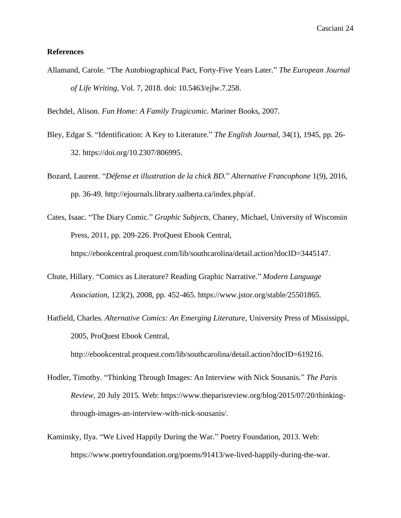#### **References**

Allamand, Carole. "The Autobiographical Pact, Forty-Five Years Later." *The European Journal of Life Writing,* Vol. 7, 2018. doi: 10.5463/ejlw.7.258.

Bechdel, Alison. *Fun Home: A Family Tragicomic.* Mariner Books, 2007.

- Bley, Edgar S. "Identification: A Key to Literature." *The English Journal,* 34(1), 1945, pp. 26- 32. https://doi.org/10.2307/806995.
- Bozard, Laurent. "*Défense et illustration de la chick BD.*" *Alternative Francophone* 1(9), 2016, pp. 36-49. http://ejournals.library.ualberta.ca/index.php/af.
- Cates, Isaac. "The Diary Comic." *Graphic Subjects*, Chaney, Michael, University of Wisconsin Press, 2011, pp. 209-226. ProQuest Ebook Central, https://ebookcentral.proquest.com/lib/southcarolina/detail.action?docID=3445147.
- Chute, Hillary. "Comics as Literature? Reading Graphic Narrative." *Modern Language Association*, 123(2), 2008, pp. 452-465. https://www.jstor.org/stable/25501865.
- Hatfield, Charles. *Alternative Comics: An Emerging Literature*, University Press of Mississippi, 2005, ProQuest Ebook Central,

http://ebookcentral.proquest.com/lib/southcarolina/detail.action?docID=619216.

- Hodler, Timothy. "Thinking Through Images: An Interview with Nick Sousanis." *The Paris Review,* 20 July 2015. Web: https://www.theparisreview.org/blog/2015/07/20/thinkingthrough-images-an-interview-with-nick-sousanis/.
- Kaminsky, Ilya. "We Lived Happily During the War." Poetry Foundation, 2013. Web: https://www.poetryfoundation.org/poems/91413/we-lived-happily-during-the-war.